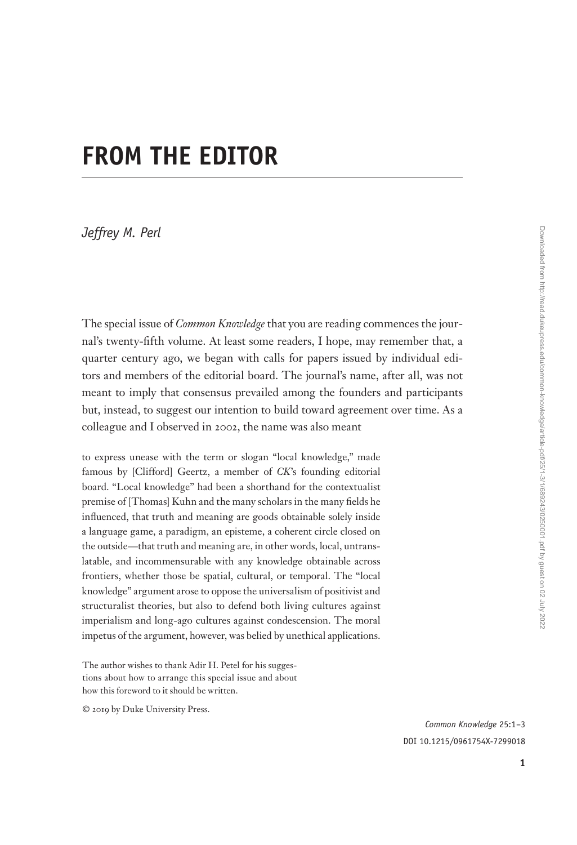## **FROM THE EDITOR**

*Jeffrey M. Perl*

The special issue of *Common Knowledge* that you are reading commences the journal's twenty-fifth volume. At least some readers, I hope, may remember that, a quarter century ago, we began with calls for papers issued by individual editors and members of the editorial board. The journal's name, after all, was not meant to imply that consensus prevailed among the founders and participants but, instead, to suggest our intention to build toward agreement over time. As a colleague and I observed in 2002, the name was also meant

to express unease with the term or slogan "local knowledge," made famous by [Clifford] Geertz, a member of *CK*'s founding editorial board. "Local knowledge" had been a shorthand for the contextualist premise of [Thomas] Kuhn and the many scholars in the many fields he influenced, that truth and meaning are goods obtainable solely inside a language game, a paradigm, an episteme, a coherent circle closed on the outside — that truth and meaning are, in other words, local, untranslatable, and incommensurable with any knowledge obtainable across frontiers, whether those be spatial, cultural, or temporal. The "local knowledge" argument arose to oppose the universalism of positivist and structuralist theories, but also to defend both living cultures against imperialism and long-ago cultures against condescension. The moral impetus of the argument, however, was belied by unethical applications.

The author wishes to thank Adir H. Petel for his suggestions about how to arrange this special issue and about how this foreword to it should be written.

© 2019 by Duke University Press.

*Common Knowledge* 25:1 –3 DOI 10.1215/0961754X-7299018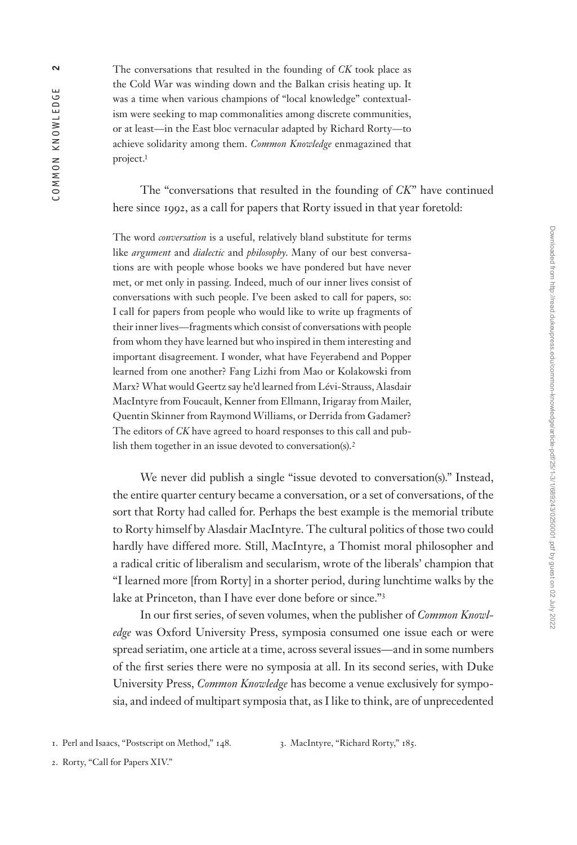The conversations that resulted in the founding of *CK* took place as the Cold War was winding down and the Balkan crisis heating up. It was a time when various champions of "local knowledge" contextualism were seeking to map commonalities among discrete communities, or at least — in the East bloc vernacular adapted by Richard Rorty — to achieve solidarity among them. *Common Knowledge* enmagazined that project.1

The "conversations that resulted in the founding of *CK*" have continued here since 1992, as a call for papers that Rorty issued in that year foretold:

The word *conversation* is a useful, relatively bland substitute for terms like *argument* and *dialectic* and *philosophy*. Many of our best conversations are with people whose books we have pondered but have never met, or met only in passing. Indeed, much of our inner lives consist of conversations with such people. I've been asked to call for papers, so: I call for papers from people who would like to write up fragments of their inner lives — fragments which consist of conversations with people from whom they have learned but who inspired in them interesting and important disagreement. I wonder, what have Feyerabend and Popper learned from one another? Fang Lizhi from Mao or Kolakowski from Marx? What would Geertz say he'd learned from Lévi-Strauss, Alasdair MacIntyre from Foucault, Kenner from Ellmann, Irigaray from Mailer, Quentin Skinner from Raymond Williams, or Derrida from Gadamer? The editors of *CK* have agreed to hoard responses to this call and publish them together in an issue devoted to conversation(s).<sup>2</sup>

We never did publish a single "issue devoted to conversation(s)." Instead, the entire quarter century became a conversation, or a set of conversations, of the sort that Rorty had called for. Perhaps the best example is the memorial tribute to Rorty himself by Alasdair MacIntyre. The cultural politics of those two could hardly have differed more. Still, MacIntyre, a Thomist moral philosopher and a radical critic of liberalism and secularism, wrote of the liberals' champion that "I learned more [from Rorty] in a shorter period, during lunchtime walks by the lake at Princeton, than I have ever done before or since."3

In our first series, of seven volumes, when the publisher of *Common Knowledge* was Oxford University Press, symposia consumed one issue each or were spread seriatim, one article at a time, across several issues—and in some numbers of the first series there were no symposia at all. In its second series, with Duke University Press, *Common Knowledge* has become a venue exclusively for symposia, and indeed of multipart symposia that, as I like to think, are of unprecedented

3. MacIntyre, "Richard Rorty," 185.

<sup>1.</sup> Perl and Isaacs, "Postscript on Method," 148.

<sup>2.</sup> Rorty, "Call for Papers XIV."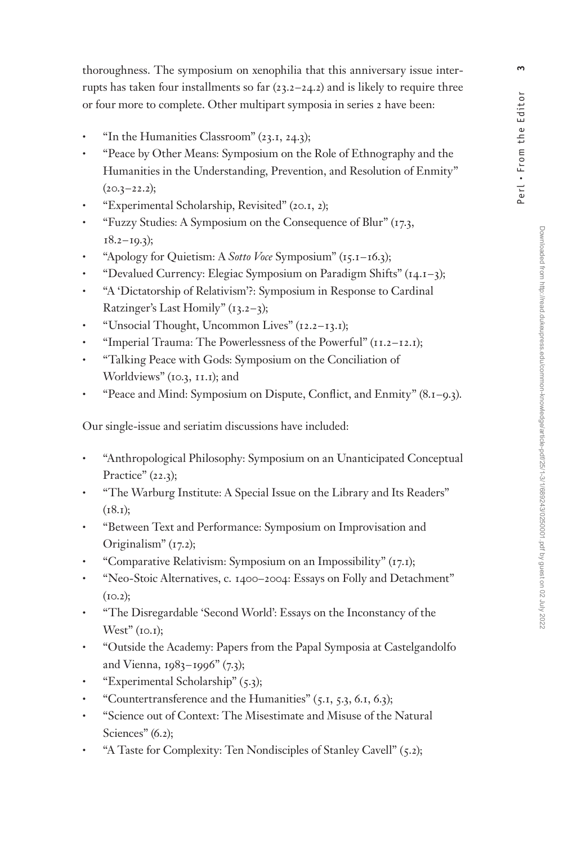thoroughness. The symposium on xenophilia that this anniversary issue interrupts has taken four installments so far  $(23.2 - 24.2)$  and is likely to require three or four more to complete. Other multipart symposia in series 2 have been:

- "In the Humanities Classroom" (23.1, 24.3);
- "Peace by Other Means: Symposium on the Role of Ethnography and the Humanities in the Understanding, Prevention, and Resolution of Enmity"  $(20.3 - 22.2);$
- "Experimental Scholarship, Revisited" (20.1, 2);
- "Fuzzy Studies: A Symposium on the Consequence of Blur" (17.3,  $18.2 - 10.3$ ;
- "Apology for Quietism: A *Sotto Voce* Symposium" (15.1 16.3);
- "Devalued Currency: Elegiac Symposium on Paradigm Shifts" (14.1 3);
- "A 'Dictatorship of Relativism'?: Symposium in Response to Cardinal Ratzinger's Last Homily"  $(13.2-3)$ ;
- "Unsocial Thought, Uncommon Lives" (12.2 13.1);
- "Imperial Trauma: The Powerlessness of the Powerful" (11.2 12.1);
- "Talking Peace with Gods: Symposium on the Conciliation of Worldviews" (10.3, 11.1); and
- "Peace and Mind: Symposium on Dispute, Conflict, and Enmity" (8.1–9.3).

Our single-issue and seriatim discussions have included:

- "Anthropological Philosophy: Symposium on an Unanticipated Conceptual Practice" (22.3);
- "The Warburg Institute: A Special Issue on the Library and Its Readers"  $(18.1);$
- "Between Text and Performance: Symposium on Improvisation and Originalism" (17.2);
- "Comparative Relativism: Symposium on an Impossibility" (17.1);
- "Neo-Stoic Alternatives, c. 1400 2004: Essays on Folly and Detachment"  $(10.2);$
- "The Disregardable 'Second World': Essays on the Inconstancy of the  $West"$  (10.1);
- "Outside the Academy: Papers from the Papal Symposia at Castelgandolfo and Vienna, 1983-1996" (7.3);
- "Experimental Scholarship" (5.3);
- "Countertransference and the Humanities" (5.1, 5.3, 6.1, 6.3);
- "Science out of Context: The Misestimate and Misuse of the Natural Sciences" (6.2);
- "A Taste for Complexity: Ten Nondisciples of Stanley Cavell" (5.2);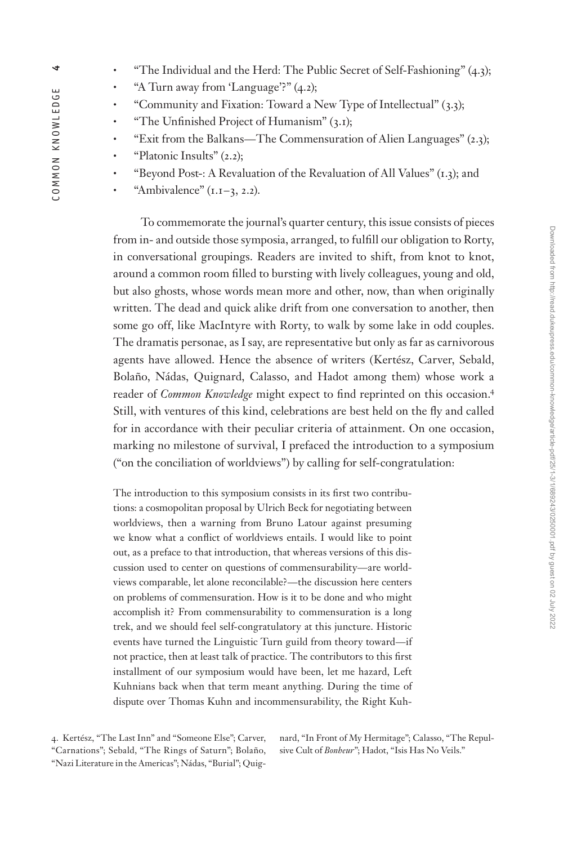- "The Individual and the Herd: The Public Secret of Self-Fashioning" (4.3);
- "A Turn away from 'Language'?" (4.2);
- "Community and Fixation: Toward a New Type of Intellectual" (3.3);
- "The Unfinished Project of Humanism" (3.1);
- "Exit from the Balkans The Commensuration of Alien Languages" (2.3);
- "Platonic Insults" (2.2);
- "Beyond Post-: A Revaluation of the Revaluation of All Values" (1.3); and
- "Ambivalence"  $(1.1 3, 2.2)$ .

To commemorate the journal's quarter century, this issue consists of pieces from in- and outside those symposia, arranged, to fulfill our obligation to Rorty, in conversational groupings. Readers are invited to shift, from knot to knot, around a common room filled to bursting with lively colleagues, young and old, but also ghosts, whose words mean more and other, now, than when originally written. The dead and quick alike drift from one conversation to another, then some go off, like MacIntyre with Rorty, to walk by some lake in odd couples. The dramatis personae, as I say, are representative but only as far as carnivorous agents have allowed. Hence the absence of writers (Kertész, Carver, Sebald, Bolaño, Nádas, Quignard, Calasso, and Hadot among them) whose work a reader of *Common Knowledge* might expect to find reprinted on this occasion.4 Still, with ventures of this kind, celebrations are best held on the fly and called for in accordance with their peculiar criteria of attainment. On one occasion, marking no milestone of survival, I prefaced the introduction to a symposium ("on the conciliation of worldviews") by calling for self-congratulation:

The introduction to this symposium consists in its first two contributions: a cosmopolitan proposal by Ulrich Beck for negotiating between worldviews, then a warning from Bruno Latour against presuming we know what a conflict of worldviews entails. I would like to point out, as a preface to that introduction, that whereas versions of this discussion used to center on questions of commensurability — are worldviews comparable, let alone reconcilable? — the discussion here centers on problems of commensuration. How is it to be done and who might accomplish it? From commensurability to commensuration is a long trek, and we should feel self-congratulatory at this juncture. Historic events have turned the Linguistic Turn guild from theory toward—if not practice, then at least talk of practice. The contributors to this first installment of our symposium would have been, let me hazard, Left Kuhnians back when that term meant anything. During the time of dispute over Thomas Kuhn and incommensurability, the Right Kuh-

4. Kertész, "The Last Inn" and "Someone Else"; Carver, "Carnations"; Sebald, "The Rings of Saturn"; Bolaño, "Nazi Literature in the Americas"; Nádas, "Burial"; Quignard, "In Front of My Hermitage"; Calasso, "The Repulsive Cult of *Bonheur*"; Hadot, "Isis Has No Veils."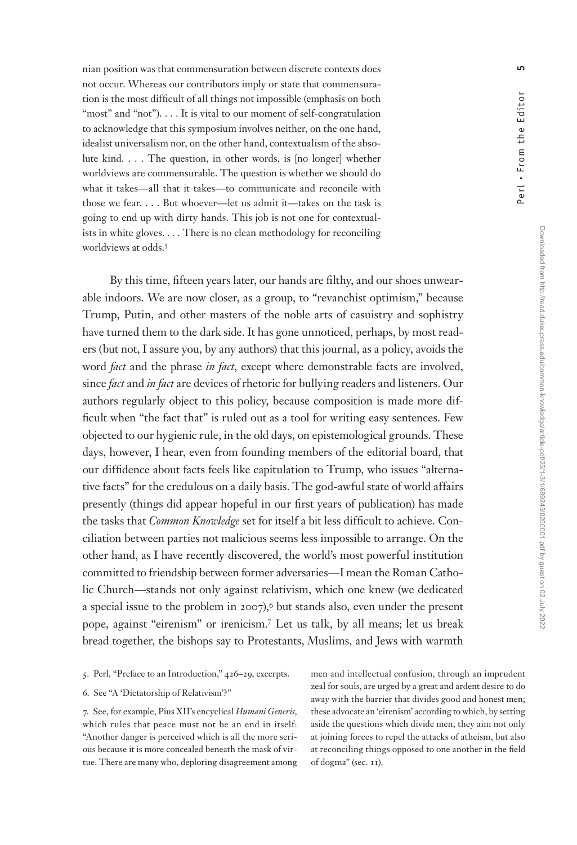nian position was that commensuration between discrete contexts does not occur. Whereas our contributors imply or state that commensuration is the most difficult of all things not impossible (emphasis on both "most" and "not"). . . . It is vital to our moment of self-congratulation to acknowledge that this symposium involves neither, on the one hand, idealist universalism nor, on the other hand, contextualism of the absolute kind. . . . The question, in other words, is [no longer] whether worldviews are commensurable. The question is whether we should do what it takes-all that it takes-to communicate and reconcile with those we fear. . . . But whoever—let us admit it—takes on the task is going to end up with dirty hands. This job is not one for contextualists in white gloves. . . . There is no clean methodology for reconciling worldviews at odds.<sup>5</sup>

By this time, fifteen years later, our hands are filthy, and our shoes unwearable indoors. We are now closer, as a group, to "revanchist optimism," because Trump, Putin, and other masters of the noble arts of casuistry and sophistry have turned them to the dark side. It has gone unnoticed, perhaps, by most readers (but not, I assure you, by any authors) that this journal, as a policy, avoids the word *fact* and the phrase *in fact*, except where demonstrable facts are involved, since *fact* and *in fact* are devices of rhetoric for bullying readers and listeners. Our authors regularly object to this policy, because composition is made more difficult when "the fact that" is ruled out as a tool for writing easy sentences. Few objected to our hygienic rule, in the old days, on epistemological grounds. These days, however, I hear, even from founding members of the editorial board, that our diffidence about facts feels like capitulation to Trump, who issues "alternative facts" for the credulous on a daily basis. The god-awful state of world affairs presently (things did appear hopeful in our first years of publication) has made the tasks that *Common Knowledge* set for itself a bit less difficult to achieve. Conciliation between parties not malicious seems less impossible to arrange. On the other hand, as I have recently discovered, the world's most powerful institution committed to friendship between former adversaries-I mean the Roman Catholic Church — stands not only against relativism, which one knew (we dedicated a special issue to the problem in  $2007$ ,<sup>6</sup> but stands also, even under the present pope, against "eirenism" or irenicism.7 Let us talk, by all means; let us break bread together, the bishops say to Protestants, Muslims, and Jews with warmth

6. See "A 'Dictatorship of Relativism'?"

7. See, for example, Pius XII's encyclical *Humani Generis*, which rules that peace must not be an end in itself: "Another danger is perceived which is all the more serious because it is more concealed beneath the mask of virtue. There are many who, deploring disagreement among

men and intellectual confusion, through an imprudent zeal for souls, are urged by a great and ardent desire to do away with the barrier that divides good and honest men; these advocate an 'eirenism' according to which, by setting aside the questions which divide men, they aim not only at joining forces to repel the attacks of atheism, but also at reconciling things opposed to one another in the field of dogma" (sec. 11).

<sup>5.</sup> Perl, "Preface to an Introduction," 426-29, excerpts.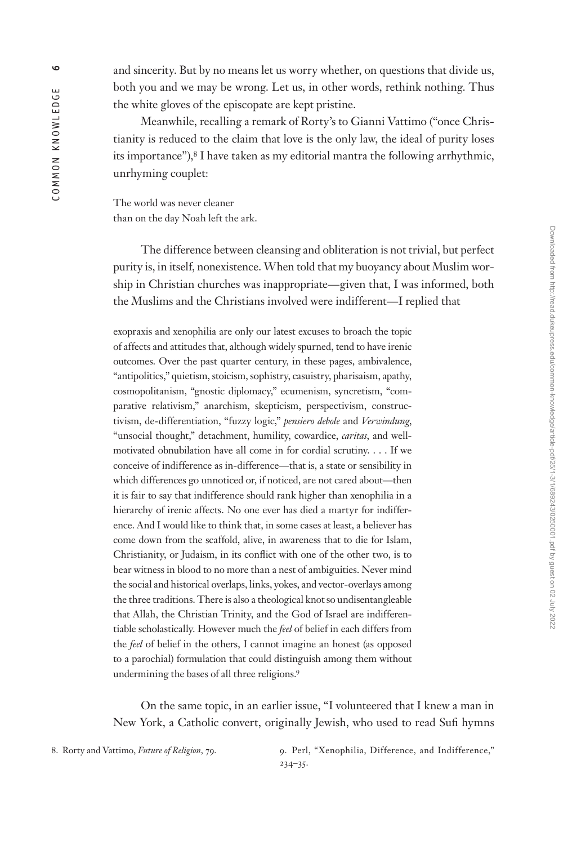Meanwhile, recalling a remark of Rorty's to Gianni Vattimo ("once Christianity is reduced to the claim that love is the only law, the ideal of purity loses its importance"),<sup>8</sup> I have taken as my editorial mantra the following arrhythmic, unrhyming couplet:

The world was never cleaner than on the day Noah left the ark.

The difference between cleansing and obliteration is not trivial, but perfect purity is, in itself, nonexistence. When told that my buoyancy about Muslim worship in Christian churches was inappropriate — given that, I was informed, both the Muslims and the Christians involved were indifferent—I replied that

exopraxis and xenophilia are only our latest excuses to broach the topic of affects and attitudes that, although widely spurned, tend to have irenic outcomes. Over the past quarter century, in these pages, ambivalence, "antipolitics," quietism, stoicism, sophistry, casuistry, pharisaism, apathy, cosmopolitanism, "gnostic diplomacy," ecumenism, syncretism, "comparative relativism," anarchism, skepticism, perspectivism, constructivism, de-differentiation, "fuzzy logic," *pensiero debole* and *Verwindung*, "unsocial thought," detachment, humility, cowardice, *caritas*, and wellmotivated obnubilation have all come in for cordial scrutiny. . . . If we conceive of indifference as in-difference — that is, a state or sensibility in which differences go unnoticed or, if noticed, are not cared about—then it is fair to say that indifference should rank higher than xenophilia in a hierarchy of irenic affects. No one ever has died a martyr for indifference. And I would like to think that, in some cases at least, a believer has come down from the scaffold, alive, in awareness that to die for Islam, Christianity, or Judaism, in its conflict with one of the other two, is to bear witness in blood to no more than a nest of ambiguities. Never mind the social and historical overlaps, links, yokes, and vector-overlays among the three traditions. There is also a theological knot so undisentangleable that Allah, the Christian Trinity, and the God of Israel are indifferentiable scholastically. However much the *feel* of belief in each differs from the *feel* of belief in the others, I cannot imagine an honest (as opposed to a parochial) formulation that could distinguish among them without undermining the bases of all three religions.9

On the same topic, in an earlier issue, "I volunteered that I knew a man in New York, a Catholic convert, originally Jewish, who used to read Sufi hymns

8. Rorty and Vattimo, *Future of Religion*, 79. 9. Perl, "Xenophilia, Difference, and Indifference,"  $234 - 35.$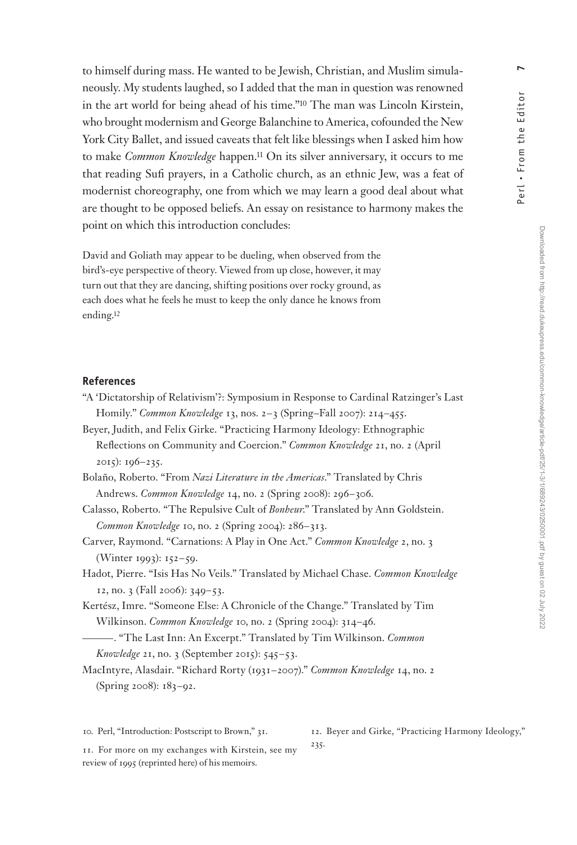to himself during mass. He wanted to be Jewish, Christian, and Muslim simulaneously. My students laughed, so I added that the man in question was renowned in the art world for being ahead of his time."10 The man was Lincoln Kirstein, who brought modernism and George Balanchine to America, cofounded the New York City Ballet, and issued caveats that felt like blessings when I asked him how to make *Common Knowledge* happen.11 On its silver anniversary, it occurs to me that reading Sufi prayers, in a Catholic church, as an ethnic Jew, was a feat of modernist choreography, one from which we may learn a good deal about what are thought to be opposed beliefs. An essay on resistance to harmony makes the point on which this introduction concludes:

David and Goliath may appear to be dueling, when observed from the bird's-eye perspective of theory. Viewed from up close, however, it may turn out that they are dancing, shifting positions over rocky ground, as each does what he feels he must to keep the only dance he knows from ending.12

## **References**

- "A 'Dictatorship of Relativism'?: Symposium in Response to Cardinal Ratzinger's Last Homily." *Common Knowledge* 13, nos. 2 – 3 (Spring–Fall 2007): 214 – 455.
- Beyer, Judith, and Felix Girke. "Practicing Harmony Ideology: Ethnographic Reflections on Community and Coercion." *Common Knowledge* 21, no. 2 (April 2015): 196 – 235.
- Bolaño, Roberto. "From *Nazi Literature in the Americas*." Translated by Chris Andrews. *Common Knowledge* 14, no. 2 (Spring 2008): 296 – 306.
- Calasso, Roberto. "The Repulsive Cult of *Bonheur*." Translated by Ann Goldstein. Common Knowledge 10, no. 2 (Spring 2004): 286-313.
- Carver, Raymond. "Carnations: A Play in One Act." *Common Knowledge* 2, no. 3 (Winter 1993): 152-59.
- Hadot, Pierre. "Isis Has No Veils." Translated by Michael Chase. *Common Knowledge*  12, no. 3 (Fall 2006): 349–53.
- Kertész, Imre. "Someone Else: A Chronicle of the Change." Translated by Tim Wilkinson. *Common Knowledge* 10, no. 2 (Spring 2004): 314 – 46.
- ——— . "The Last Inn: An Excerpt." Translated by Tim Wilkinson. *Common Knowledge* 21, no. 3 (September 2015): 545–53.
- MacIntyre, Alasdair. "Richard Rorty (1931 2007)." *Common Knowledge* 14, no. 2 (Spring 2008): 183 – 92.

235.

10. Perl, "Introduction: Postscript to Brown," 31.

12. Beyer and Girke, "Practicing Harmony Ideology,"

11. For more on my exchanges with Kirstein, see my review of 1995 (reprinted here) of his memoirs.

Downloaded from http://read.dukeupress.edu/common-knowledge/article-pdf/25/1-3/1/689243/0250001.pdf by guest on 02 July 2022

Perl • From the Editor **7**

Perl . From the Editor

 $\blacksquare$